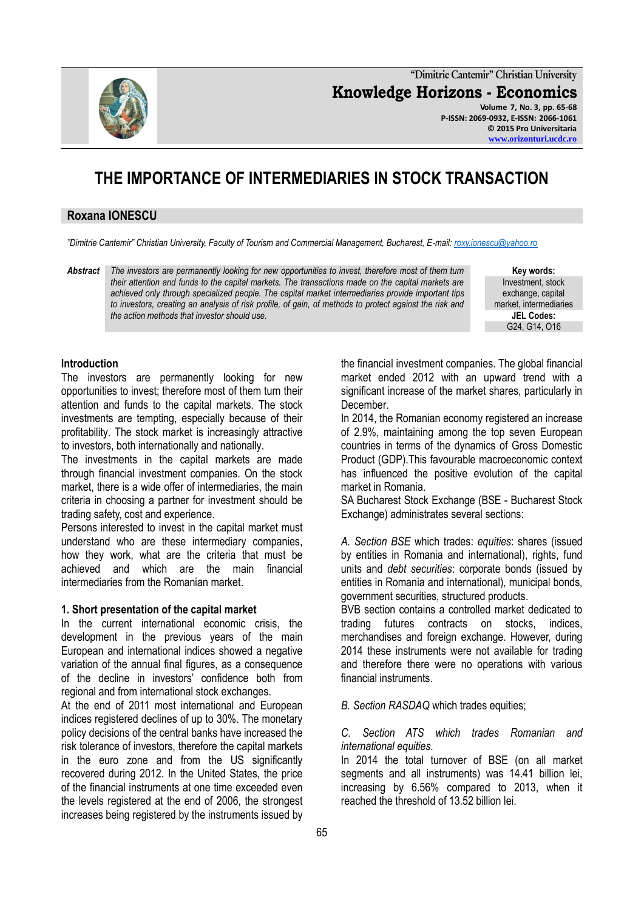

**"Dimitrie Cantemir" Christian University Knowledge Horizons - Economics Volume 7, No. 3, pp. 65-68 P-ISSN: 2069-0932, E-ISSN: 2066-1061 © 2015 Pro Universitaria [www.orizonturi.ucdc.ro](http://www.orizonturi.ucdc.ro/)**

# **THE IMPORTANCE OF INTERMEDIARIES IN STOCK TRANSACTION**

## **Roxana IONESCU**

*"Dimitrie Cantemir" Christian University, Faculty of Tourism and Commercial Management, Bucharest, E-mail: [roxy.ionescu@yahoo.ro](mailto:roxy.ionescu@yahoo.ro)*

*Abstract The investors are permanently looking for new opportunities to invest, therefore most of them turn their attention and funds to the capital markets. The transactions made on the capital markets are achieved only through specialized people. The capital market intermediaries provide important tips to investors, creating an analysis of risk profile, of gain, of methods to protect against the risk and the action methods that investor should use.*

**Key words:** Investment, stock exchange, capital market, intermediaries **JEL Codes:** G24, G14, O16

## **Introduction**

The investors are permanently looking for new opportunities to invest; therefore most of them turn their attention and funds to the capital markets. The stock investments are tempting, especially because of their profitability. The stock market is increasingly attractive to investors, both internationally and nationally.

The investments in the capital markets are made through financial investment companies. On the stock market, there is a wide offer of intermediaries, the main criteria in choosing a partner for investment should be trading safety, cost and experience.

Persons interested to invest in the capital market must understand who are these intermediary companies, how they work, what are the criteria that must be achieved and which are the main financial intermediaries from the Romanian market.

#### **1. Short presentation of the capital market**

In the current international economic crisis, the development in the previous years of the main European and international indices showed a negative variation of the annual final figures, as a consequence of the decline in investors' confidence both from regional and from international stock exchanges.

At the end of 2011 most international and European indices registered declines of up to 30%. The monetary policy decisions of the central banks have increased the risk tolerance of investors, therefore the capital markets in the euro zone and from the US significantly recovered during 2012. In the United States, the price of the financial instruments at one time exceeded even the levels registered at the end of 2006, the strongest increases being registered by the instruments issued by

the financial investment companies. The global financial market ended 2012 with an upward trend with a significant increase of the market shares, particularly in December.

In 2014, the Romanian economy registered an increase of 2.9%, maintaining among the top seven European countries in terms of the dynamics of Gross Domestic Product (GDP).This favourable macroeconomic context has influenced the positive evolution of the capital market in Romania.

SA Bucharest Stock Exchange (BSE - Bucharest Stock Exchange) administrates several sections:

*A. Section BSE* which trades: *equities*: shares (issued by entities in Romania and international), rights, fund units and *debt securities*: corporate bonds (issued by entities in Romania and international), municipal bonds, government securities, structured products.

BVB section contains a controlled market dedicated to trading futures contracts on stocks, indices, merchandises and foreign exchange. However, during 2014 these instruments were not available for trading and therefore there were no operations with various financial instruments.

*B. Section RASDAQ* which trades equities;

# *C. Section ATS which trades Romanian and international equities.*

In 2014 the total turnover of BSE (on all market segments and all instruments) was 14.41 billion lei, increasing by 6.56% compared to 2013, when it reached the threshold of 13.52 billion lei.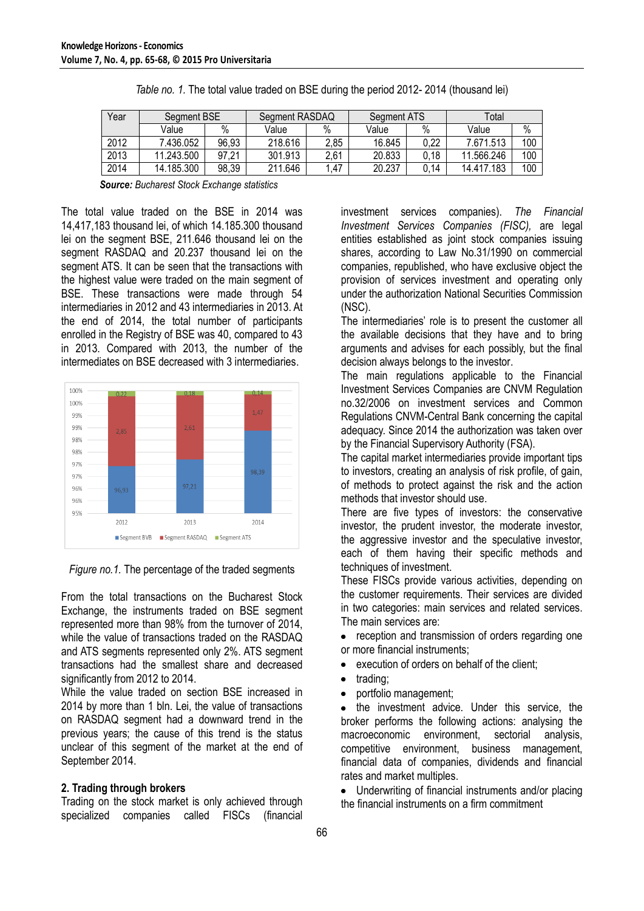| Year | Segment BSE |       | Segment RASDAQ |      | Segment ATS |      | Total      |      |
|------|-------------|-------|----------------|------|-------------|------|------------|------|
|      | Value       | $\%$  | Value          | %    | Value       | $\%$ | Value      | $\%$ |
| 2012 | 7.436.052   | 96,93 | 218.616        | 2,85 | 16.845      | 0,22 | 7.671.513  | 100  |
| 2013 | 11.243.500  | 97,21 | 301.913        | 2.61 | 20.833      | 0,18 | 11.566.246 | 100  |
| 2014 | 14.185.300  | 98,39 | 211.646        | .47  | 20.237      | .14  | 14.417.183 | 100  |

|  |  | Table no. 1. The total value traded on BSE during the period 2012-2014 (thousand lei) |  |
|--|--|---------------------------------------------------------------------------------------|--|
|  |  |                                                                                       |  |

*Source: Bucharest Stock Exchange statistics*

The total value traded on the BSE in 2014 was 14,417,183 thousand lei, of which 14.185.300 thousand lei on the segment BSE, 211.646 thousand lei on the segment RASDAQ and 20.237 thousand lei on the segment ATS. It can be seen that the transactions with the highest value were traded on the main segment of BSE. These transactions were made through 54 intermediaries in 2012 and 43 intermediaries in 2013. At the end of 2014, the total number of participants enrolled in the Registry of BSE was 40, compared to 43 in 2013. Compared with 2013, the number of the intermediates on BSE decreased with 3 intermediaries.



*Figure no.1.* The percentage of the traded segments

From the total transactions on the Bucharest Stock Exchange, the instruments traded on BSE segment represented more than 98% from the turnover of 2014, while the value of transactions traded on the RASDAQ and ATS segments represented only 2%. ATS segment transactions had the smallest share and decreased significantly from 2012 to 2014.

While the value traded on section BSE increased in 2014 by more than 1 bln. Lei, the value of transactions on RASDAQ segment had a downward trend in the previous years; the cause of this trend is the status unclear of this segment of the market at the end of September 2014.

## **2. Trading through brokers**

Trading on the stock market is only achieved through specialized companies called FISCs (financial investment services companies). *The Financial Investment Services Companies (FISC),* are legal entities established as joint stock companies issuing shares, according to Law No.31/1990 on commercial companies, republished, who have exclusive object the provision of services investment and operating only under the authorization National Securities Commission (NSC).

The intermediaries' role is to present the customer all the available decisions that they have and to bring arguments and advises for each possibly, but the final decision always belongs to the investor.

The main regulations applicable to the Financial Investment Services Companies are CNVM Regulation no.32/2006 on investment services and Common Regulations CNVM-Central Bank concerning the capital adequacy. Since 2014 the authorization was taken over by the Financial Supervisory Authority (FSA).

The capital market intermediaries provide important tips to investors, creating an analysis of risk profile, of gain, of methods to protect against the risk and the action methods that investor should use.

There are five types of investors: the conservative investor, the prudent investor, the moderate investor, the aggressive investor and the speculative investor, each of them having their specific methods and techniques of investment.

These FISCs provide various activities, depending on the customer requirements. Their services are divided in two categories: main services and related services. The main services are:

reception and transmission of orders regarding one  $\bullet$ or more financial instruments;

- execution of orders on behalf of the client;  $\bullet$
- trading;
- portfolio management;

the investment advice. Under this service, the broker performs the following actions: analysing the macroeconomic environment, sectorial analysis, competitive environment, business management, financial data of companies, dividends and financial rates and market multiples.

Underwriting of financial instruments and/or placing the financial instruments on a firm commitment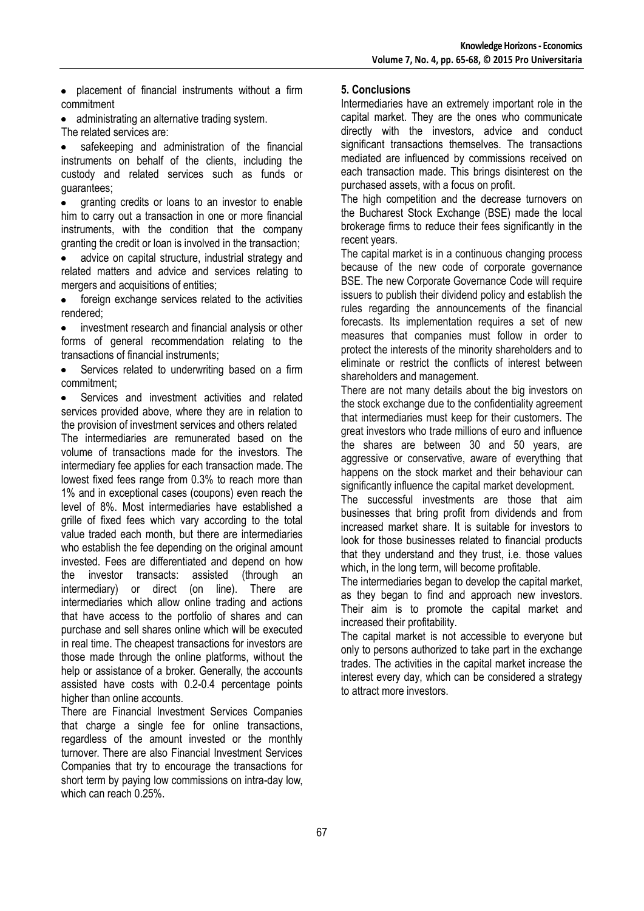• placement of financial instruments without a firm commitment

- administrating an alternative trading system.
- The related services are:

safekeeping and administration of the financial instruments on behalf of the clients, including the custody and related services such as funds or guarantees;

granting credits or loans to an investor to enable  $\bullet$ him to carry out a transaction in one or more financial instruments, with the condition that the company granting the credit or loan is involved in the transaction;

advice on capital structure, industrial strategy and related matters and advice and services relating to mergers and acquisitions of entities;

foreign exchange services related to the activities  $\bullet$ rendered;

investment research and financial analysis or other forms of general recommendation relating to the transactions of financial instruments;

Services related to underwriting based on a firm commitment;

Services and investment activities and related services provided above, where they are in relation to the provision of investment services and others related

The intermediaries are remunerated based on the volume of transactions made for the investors. The intermediary fee applies for each transaction made. The lowest fixed fees range from 0.3% to reach more than 1% and in exceptional cases (coupons) even reach the level of 8%. Most intermediaries have established a grille of fixed fees which vary according to the total value traded each month, but there are intermediaries who establish the fee depending on the original amount invested. Fees are differentiated and depend on how the investor transacts: assisted (through an intermediary) or direct (on line). There are intermediaries which allow online trading and actions that have access to the portfolio of shares and can purchase and sell shares online which will be executed in real time. The cheapest transactions for investors are those made through the online platforms, without the help or assistance of a broker. Generally, the accounts assisted have costs with 0.2-0.4 percentage points higher than online accounts.

There are Financial Investment Services Companies that charge a single fee for online transactions, regardless of the amount invested or the monthly turnover. There are also Financial Investment Services Companies that try to encourage the transactions for short term by paying low commissions on intra-day low, which can reach 0.25%.

# **5. Conclusions**

Intermediaries have an extremely important role in the capital market. They are the ones who communicate directly with the investors, advice and conduct significant transactions themselves. The transactions mediated are influenced by commissions received on each transaction made. This brings disinterest on the purchased assets, with a focus on profit.

The high competition and the decrease turnovers on the Bucharest Stock Exchange (BSE) made the local brokerage firms to reduce their fees significantly in the recent years.

The capital market is in a continuous changing process because of the new code of corporate governance BSE. The new Corporate Governance Code will require issuers to publish their dividend policy and establish the rules regarding the announcements of the financial forecasts. Its implementation requires a set of new measures that companies must follow in order to protect the interests of the minority shareholders and to eliminate or restrict the conflicts of interest between shareholders and management.

There are not many details about the big investors on the stock exchange due to the confidentiality agreement that intermediaries must keep for their customers. The great investors who trade millions of euro and influence the shares are between 30 and 50 years, are aggressive or conservative, aware of everything that happens on the stock market and their behaviour can significantly influence the capital market development.

The successful investments are those that aim businesses that bring profit from dividends and from increased market share. It is suitable for investors to look for those businesses related to financial products that they understand and they trust, i.e. those values which, in the long term, will become profitable.

The intermediaries began to develop the capital market, as they began to find and approach new investors. Their aim is to promote the capital market and increased their profitability.

The capital market is not accessible to everyone but only to persons authorized to take part in the exchange trades. The activities in the capital market increase the interest every day, which can be considered a strategy to attract more investors.